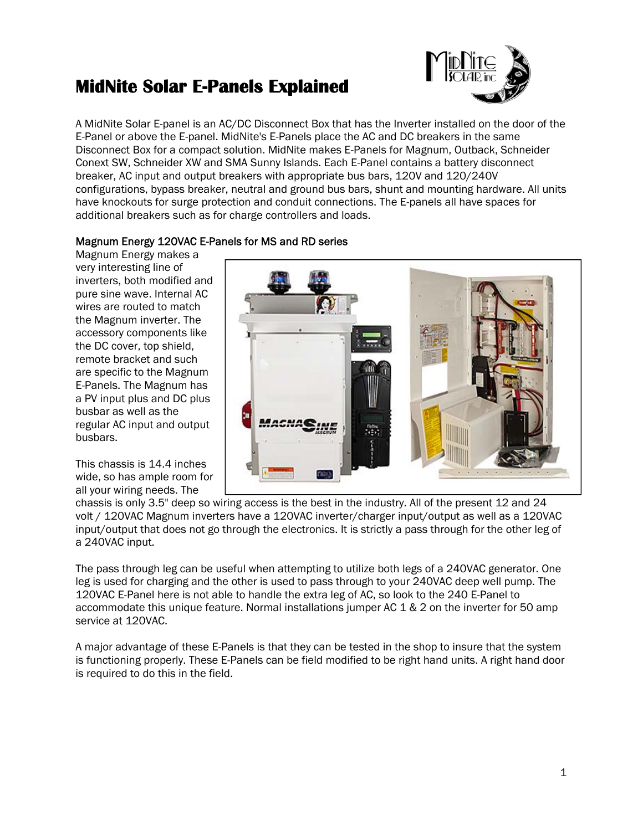# **MidNite Solar E-Panels Explained**



A MidNite Solar E-panel is an AC/DC Disconnect Box that has the Inverter installed on the door of the E-Panel or above the E-panel. MidNite's E-Panels place the AC and DC breakers in the same Disconnect Box for a compact solution. MidNite makes E-Panels for Magnum, Outback, Schneider Conext SW, Schneider XW and SMA Sunny Islands. Each E-Panel contains a battery disconnect breaker, AC input and output breakers with appropriate bus bars, 120V and 120/240V configurations, bypass breaker, neutral and ground bus bars, shunt and mounting hardware. All units have knockouts for surge protection and conduit connections. The E-panels all have spaces for additional breakers such as for charge controllers and loads.

# Magnum Energy 120VAC E-Panels for MS and RD series

Magnum Energy makes a very interesting line of inverters, both modified and pure sine wave. Internal AC wires are routed to match the Magnum inverter. The accessory components like the DC cover, top shield, remote bracket and such are specific to the Magnum E-Panels. The Magnum has a PV input plus and DC plus busbar as well as the regular AC input and output busbars.

This chassis is 14.4 inches wide, so has ample room for all your wiring needs. The



chassis is only 3.5" deep so wiring access is the best in the industry. All of the present 12 and 24 volt / 120VAC Magnum inverters have a 120VAC inverter/charger input/output as well as a 120VAC input/output that does not go through the electronics. It is strictly a pass through for the other leg of a 240VAC input.

The pass through leg can be useful when attempting to utilize both legs of a 240VAC generator. One leg is used for charging and the other is used to pass through to your 240VAC deep well pump. The 120VAC E-Panel here is not able to handle the extra leg of AC, so look to the 240 E-Panel to accommodate this unique feature. Normal installations jumper AC 1 & 2 on the inverter for 50 amp service at 120VAC.

A major advantage of these E-Panels is that they can be tested in the shop to insure that the system is functioning properly. These E-Panels can be field modified to be right hand units. A right hand door is required to do this in the field.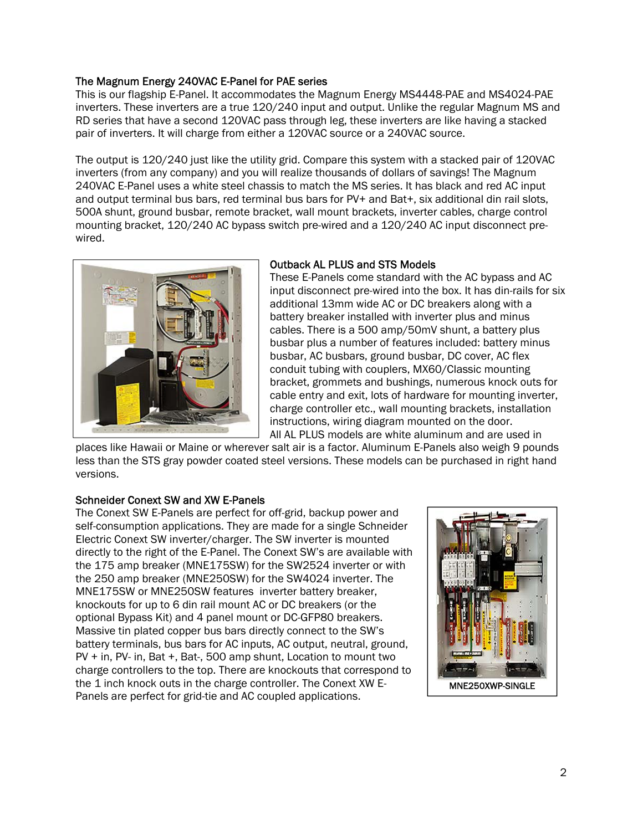# The Magnum Energy 240VAC E-Panel for PAE series

This is our flagship E-Panel. It accommodates the Magnum Energy MS4448-PAE and MS4024-PAE inverters. These inverters are a true 120/240 input and output. Unlike the regular Magnum MS and RD series that have a second 120VAC pass through leg, these inverters are like having a stacked pair of inverters. It will charge from either a 120VAC source or a 240VAC source.

The output is 120/240 just like the utility grid. Compare this system with a stacked pair of 120VAC inverters (from any company) and you will realize thousands of dollars of savings! The Magnum 240VAC E-Panel uses a white steel chassis to match the MS series. It has black and red AC input and output terminal bus bars, red terminal bus bars for PV+ and Bat+, six additional din rail slots, 500A shunt, ground busbar, remote bracket, wall mount brackets, inverter cables, charge control mounting bracket, 120/240 AC bypass switch pre-wired and a 120/240 AC input disconnect prewired.



#### Outback AL PLUS and STS Models

These E-Panels come standard with the AC bypass and AC input disconnect pre-wired into the box. It has din-rails for six additional 13mm wide AC or DC breakers along with a battery breaker installed with inverter plus and minus cables. There is a 500 amp/50mV shunt, a battery plus busbar plus a number of features included: battery minus busbar, AC busbars, ground busbar, DC cover, AC flex conduit tubing with couplers, MX60/Classic mounting bracket, grommets and bushings, numerous knock outs for cable entry and exit, lots of hardware for mounting inverter, charge controller etc., wall mounting brackets, installation instructions, wiring diagram mounted on the door. All AL PLUS models are white aluminum and are used in

places like Hawaii or Maine or wherever salt air is a factor. Aluminum E-Panels also weigh 9 pounds less than the STS gray powder coated steel versions. These models can be purchased in right hand versions.

#### Schneider Conext SW and XW E-Panels

The Conext SW E-Panels are perfect for off-grid, backup power and self-consumption applications. They are made for a single Schneider Electric Conext SW inverter/charger. The SW inverter is mounted directly to the right of the E-Panel. The Conext SW's are available with the 175 amp breaker (MNE175SW) for the SW2524 inverter or with the 250 amp breaker (MNE250SW) for the SW4024 inverter. The MNE175SW or MNE250SW features inverter battery breaker, knockouts for up to 6 din rail mount AC or DC breakers (or the optional Bypass Kit) and 4 panel mount or DC-GFP80 breakers. Massive tin plated copper bus bars directly connect to the SW's battery terminals, bus bars for AC inputs, AC output, neutral, ground, PV + in, PV- in, Bat +, Bat-, 500 amp shunt, Location to mount two charge controllers to the top. There are knockouts that correspond to the 1 inch knock outs in the charge controller. The Conext XW E-Panels are perfect for grid-tie and AC coupled applications.

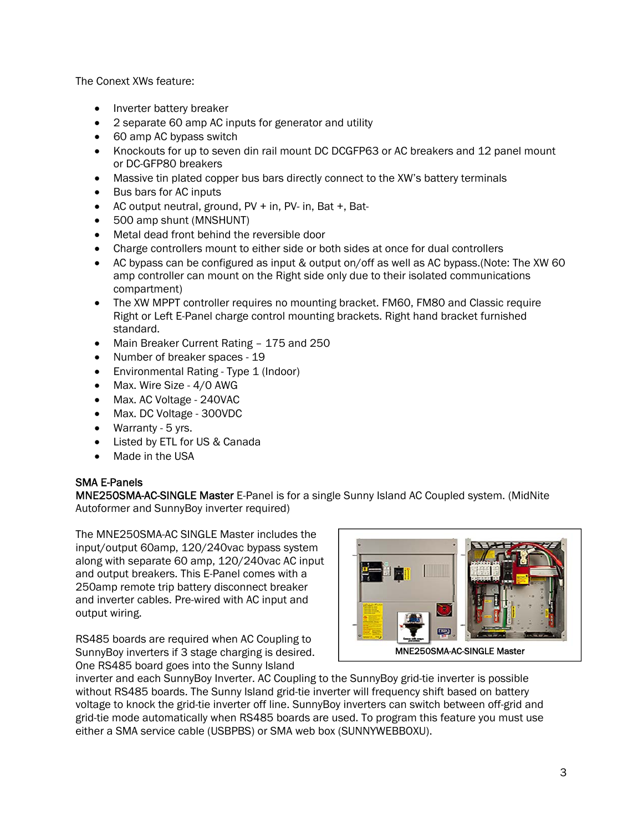The Conext XWs feature:

- Inverter battery breaker
- 2 separate 60 amp AC inputs for generator and utility
- 60 amp AC bypass switch
- Knockouts for up to seven din rail mount DC DCGFP63 or AC breakers and 12 panel mount or DC-GFP80 breakers
- Massive tin plated copper bus bars directly connect to the XW's battery terminals
- Bus bars for AC inputs
- AC output neutral, ground, PV + in, PV- in, Bat +, Bat-
- 500 amp shunt (MNSHUNT)
- Metal dead front behind the reversible door
- Charge controllers mount to either side or both sides at once for dual controllers
- AC bypass can be configured as input & output on/off as well as AC bypass.(Note: The XW 60 amp controller can mount on the Right side only due to their isolated communications compartment)
- The XW MPPT controller requires no mounting bracket. FM60, FM80 and Classic require Right or Left E-Panel charge control mounting brackets. Right hand bracket furnished standard.
- Main Breaker Current Rating 175 and 250
- Number of breaker spaces 19
- Environmental Rating Type 1 (Indoor)
- Max. Wire Size 4/0 AWG
- Max. AC Voltage 240VAC
- Max. DC Voltage 300VDC
- Warranty 5 yrs.
- Listed by ETL for US & Canada
- Made in the USA

# SMA E-Panels

MNE250SMA-AC-SINGLE Master E-Panel is for a single Sunny Island AC Coupled system. (MidNite Autoformer and SunnyBoy inverter required)

The MNE250SMA-AC SINGLE Master includes the input/output 60amp, 120/240vac bypass system along with separate 60 amp, 120/240vac AC input and output breakers. This E-Panel comes with a 250amp remote trip battery disconnect breaker and inverter cables. Pre-wired with AC input and output wiring.

RS485 boards are required when AC Coupling to SunnyBoy inverters if 3 stage charging is desired. One RS485 board goes into the Sunny Island



MNE250SMA-AC-SINGLE Master

inverter and each SunnyBoy Inverter. AC Coupling to the SunnyBoy grid-tie inverter is possible without RS485 boards. The Sunny Island grid-tie inverter will frequency shift based on battery voltage to knock the grid-tie inverter off line. SunnyBoy inverters can switch between off-grid and grid-tie mode automatically when RS485 boards are used. To program this feature you must use either a SMA service cable (USBPBS) or SMA web box (SUNNYWEBBOXU).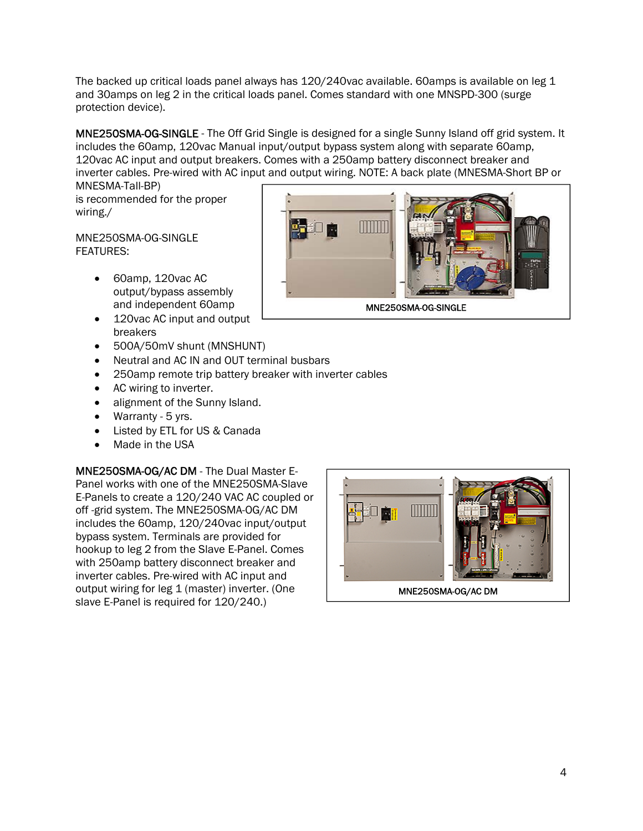The backed up critical loads panel always has 120/240vac available. 60amps is available on leg 1 and 30amps on leg 2 in the critical loads panel. Comes standard with one MNSPD-300 (surge protection device).

MNE250SMA-OG-SINGLE - The Off Grid Single is designed for a single Sunny Island off grid system. It includes the 60amp, 120vac Manual input/output bypass system along with separate 60amp, 120vac AC input and output breakers. Comes with a 250amp battery disconnect breaker and inverter cables. Pre-wired with AC input and output wiring. NOTE: A back plate (MNESMA-Short BP or MNESMA-Tall-BP)

is recommended for the proper wiring./

MNE250SMA-OG-SINGLE FEATURES:

- 60amp, 120vac AC output/bypass assembly and independent 60amp
- 120vac AC input and output breakers
- 500A/50mV shunt (MNSHUNT)
- Neutral and AC IN and OUT terminal busbars
- 250amp remote trip battery breaker with inverter cables
- AC wiring to inverter.
- alignment of the Sunny Island.
- Warranty 5 yrs.
- Listed by ETL for US & Canada
- Made in the USA

MNE250SMA-OG/AC DM - The Dual Master E-Panel works with one of the MNE250SMA-Slave E-Panels to create a 120/240 VAC AC coupled or off -grid system. The MNE250SMA-OG/AC DM includes the 60amp, 120/240vac input/output bypass system. Terminals are provided for hookup to leg 2 from the Slave E-Panel. Comes with 250amp battery disconnect breaker and inverter cables. Pre-wired with AC input and output wiring for leg 1 (master) inverter. (One slave E-Panel is required for 120/240.)



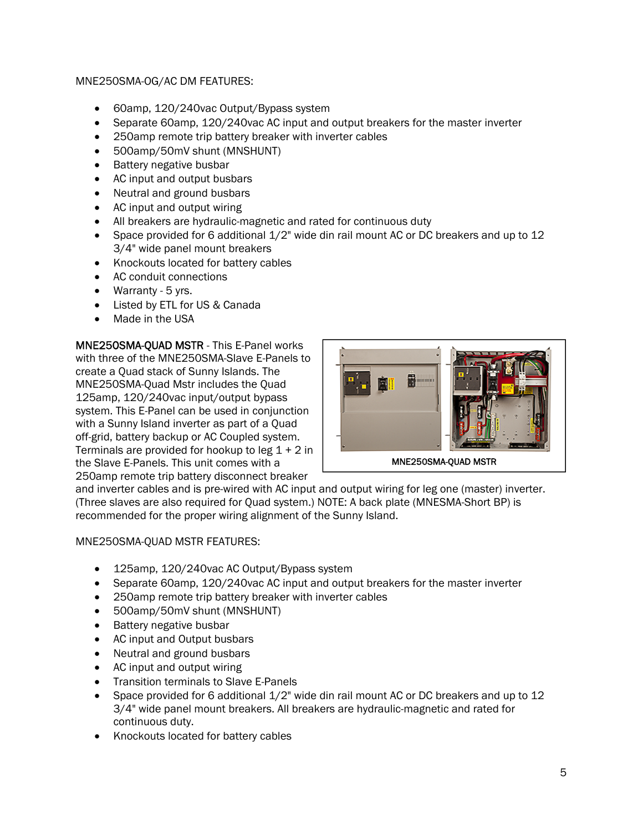# MNE250SMA-OG/AC DM FEATURES:

- 60amp, 120/240vac Output/Bypass system
- Separate 60amp, 120/240vac AC input and output breakers for the master inverter
- 250amp remote trip battery breaker with inverter cables
- 500amp/50mV shunt (MNSHUNT)
- Battery negative busbar
- AC input and output busbars
- Neutral and ground busbars
- AC input and output wiring
- All breakers are hydraulic-magnetic and rated for continuous duty
- Space provided for 6 additional  $1/2$ " wide din rail mount AC or DC breakers and up to 12 3/4" wide panel mount breakers
- Knockouts located for battery cables
- AC conduit connections
- Warranty 5 yrs.
- Listed by ETL for US & Canada
- Made in the USA

MNE250SMA-QUAD MSTR - This E-Panel works with three of the MNE250SMA-Slave E-Panels to create a Quad stack of Sunny Islands. The MNE250SMA-Quad Mstr includes the Quad 125amp, 120/240vac input/output bypass system. This E-Panel can be used in conjunction with a Sunny Island inverter as part of a Quad off-grid, battery backup or AC Coupled system. Terminals are provided for hookup to leg  $1 + 2$  in the Slave E-Panels. This unit comes with a 250amp remote trip battery disconnect breaker



and inverter cables and is pre-wired with AC input and output wiring for leg one (master) inverter. (Three slaves are also required for Quad system.) NOTE: A back plate (MNESMA-Short BP) is recommended for the proper wiring alignment of the Sunny Island.

#### MNE250SMA-QUAD MSTR FEATURES:

- 125amp, 120/240vac AC Output/Bypass system
- Separate 60amp, 120/240vac AC input and output breakers for the master inverter
- 250amp remote trip battery breaker with inverter cables
- 500amp/50mV shunt (MNSHUNT)
- Battery negative busbar
- AC input and Output busbars
- Neutral and ground busbars
- AC input and output wiring
- Transition terminals to Slave E-Panels
- Space provided for 6 additional  $1/2$ " wide din rail mount AC or DC breakers and up to 12 3/4" wide panel mount breakers. All breakers are hydraulic-magnetic and rated for continuous duty.
- Knockouts located for battery cables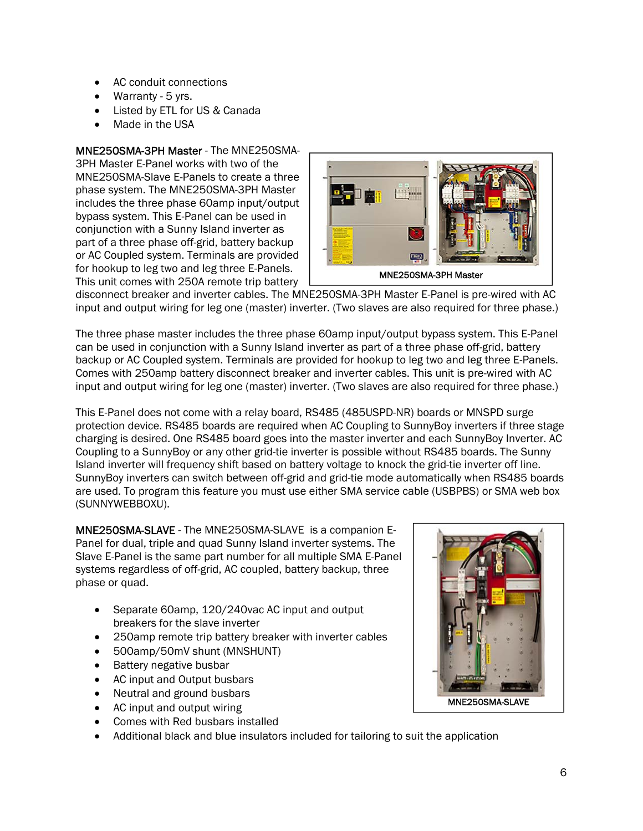- AC conduit connections
- Warranty 5 yrs.
- Listed by ETL for US & Canada
- Made in the USA

# MNE250SMA-3PH Master - The MNE250SMA-

3PH Master E-Panel works with two of the MNE250SMA-Slave E-Panels to create a three phase system. The MNE250SMA-3PH Master includes the three phase 60amp input/output bypass system. This E-Panel can be used in conjunction with a Sunny Island inverter as part of a three phase off-grid, battery backup or AC Coupled system. Terminals are provided for hookup to leg two and leg three E-Panels. This unit comes with 250A remote trip battery



disconnect breaker and inverter cables. The MNE250SMA-3PH Master E-Panel is pre-wired with AC input and output wiring for leg one (master) inverter. (Two slaves are also required for three phase.)

The three phase master includes the three phase 60amp input/output bypass system. This E-Panel can be used in conjunction with a Sunny Island inverter as part of a three phase off-grid, battery backup or AC Coupled system. Terminals are provided for hookup to leg two and leg three E-Panels. Comes with 250amp battery disconnect breaker and inverter cables. This unit is pre-wired with AC input and output wiring for leg one (master) inverter. (Two slaves are also required for three phase.)

This E-Panel does not come with a relay board, RS485 (485USPD-NR) boards or MNSPD surge protection device. RS485 boards are required when AC Coupling to SunnyBoy inverters if three stage charging is desired. One RS485 board goes into the master inverter and each SunnyBoy Inverter. AC Coupling to a SunnyBoy or any other grid-tie inverter is possible without RS485 boards. The Sunny Island inverter will frequency shift based on battery voltage to knock the grid-tie inverter off line. SunnyBoy inverters can switch between off-grid and grid-tie mode automatically when RS485 boards are used. To program this feature you must use either SMA service cable (USBPBS) or SMA web box (SUNNYWEBBOXU).

MNE250SMA-SLAVE - The MNE250SMA-SLAVE is a companion E-Panel for dual, triple and quad Sunny Island inverter systems. The Slave E-Panel is the same part number for all multiple SMA E-Panel systems regardless of off-grid, AC coupled, battery backup, three phase or quad.

- Separate 60amp, 120/240vac AC input and output breakers for the slave inverter
- 250amp remote trip battery breaker with inverter cables
- 500amp/50mV shunt (MNSHUNT)
- Battery negative busbar
- AC input and Output busbars
- Neutral and ground busbars
- AC input and output wiring
- Comes with Red busbars installed
- Additional black and blue insulators included for tailoring to suit the application